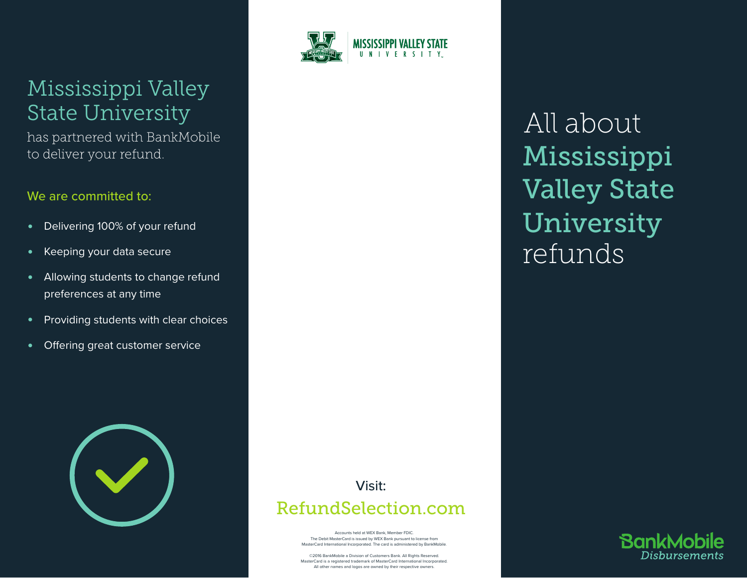# Mississippi Valley State University

has partnered with BankMobile to deliver your refund.

# We are committed to:

- Delivering 100% of your refund
- Keeping your data secure
- Allowing students to change refund preferences at any time
- Providing students with clear choices
- Offering great customer service





# All about Mississippi Valley State University refunds

# Visit: RefundSelection.com

Accounts held at WEX Bank, Member FDIC. The Debit MasterCard is issued by WEX Bank pursuant to license from MasterCard International Incorporated. The card is administered by BankMobile.

©2016 BankMobile a Division of Customers Bank. All Rights Reserved. MasterCard is a registered trademark of MasterCard International Incorporated. All other names and logos are owned by their respective owners.